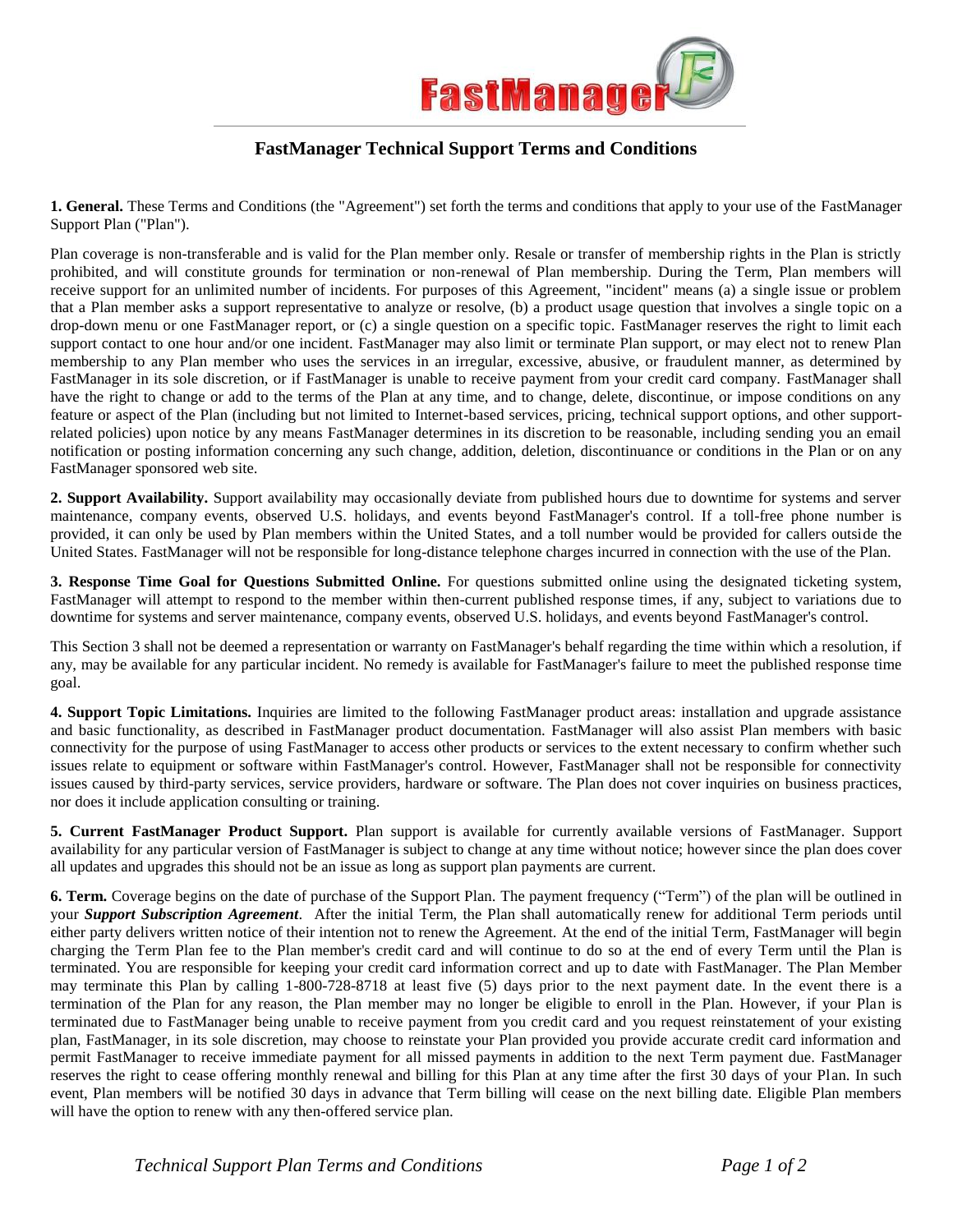

## **FastManager Technical Support Terms and Conditions**

**1. General.** These Terms and Conditions (the "Agreement") set forth the terms and conditions that apply to your use of the FastManager Support Plan ("Plan").

Plan coverage is non-transferable and is valid for the Plan member only. Resale or transfer of membership rights in the Plan is strictly prohibited, and will constitute grounds for termination or non-renewal of Plan membership. During the Term, Plan members will receive support for an unlimited number of incidents. For purposes of this Agreement, "incident" means (a) a single issue or problem that a Plan member asks a support representative to analyze or resolve, (b) a product usage question that involves a single topic on a drop-down menu or one FastManager report, or (c) a single question on a specific topic. FastManager reserves the right to limit each support contact to one hour and/or one incident. FastManager may also limit or terminate Plan support, or may elect not to renew Plan membership to any Plan member who uses the services in an irregular, excessive, abusive, or fraudulent manner, as determined by FastManager in its sole discretion, or if FastManager is unable to receive payment from your credit card company. FastManager shall have the right to change or add to the terms of the Plan at any time, and to change, delete, discontinue, or impose conditions on any feature or aspect of the Plan (including but not limited to Internet-based services, pricing, technical support options, and other supportrelated policies) upon notice by any means FastManager determines in its discretion to be reasonable, including sending you an email notification or posting information concerning any such change, addition, deletion, discontinuance or conditions in the Plan or on any FastManager sponsored web site.

**2. Support Availability.** Support availability may occasionally deviate from published hours due to downtime for systems and server maintenance, company events, observed U.S. holidays, and events beyond FastManager's control. If a toll-free phone number is provided, it can only be used by Plan members within the United States, and a toll number would be provided for callers outside the United States. FastManager will not be responsible for long-distance telephone charges incurred in connection with the use of the Plan.

**3. Response Time Goal for Questions Submitted Online.** For questions submitted online using the designated ticketing system, FastManager will attempt to respond to the member within then-current published response times, if any, subject to variations due to downtime for systems and server maintenance, company events, observed U.S. holidays, and events beyond FastManager's control.

This Section 3 shall not be deemed a representation or warranty on FastManager's behalf regarding the time within which a resolution, if any, may be available for any particular incident. No remedy is available for FastManager's failure to meet the published response time goal.

**4. Support Topic Limitations.** Inquiries are limited to the following FastManager product areas: installation and upgrade assistance and basic functionality, as described in FastManager product documentation. FastManager will also assist Plan members with basic connectivity for the purpose of using FastManager to access other products or services to the extent necessary to confirm whether such issues relate to equipment or software within FastManager's control. However, FastManager shall not be responsible for connectivity issues caused by third-party services, service providers, hardware or software. The Plan does not cover inquiries on business practices, nor does it include application consulting or training.

**5. Current FastManager Product Support.** Plan support is available for currently available versions of FastManager. Support availability for any particular version of FastManager is subject to change at any time without notice; however since the plan does cover all updates and upgrades this should not be an issue as long as support plan payments are current.

**6. Term.** Coverage begins on the date of purchase of the Support Plan. The payment frequency ("Term") of the plan will be outlined in your *Support Subscription Agreement*. After the initial Term, the Plan shall automatically renew for additional Term periods until either party delivers written notice of their intention not to renew the Agreement. At the end of the initial Term, FastManager will begin charging the Term Plan fee to the Plan member's credit card and will continue to do so at the end of every Term until the Plan is terminated. You are responsible for keeping your credit card information correct and up to date with FastManager. The Plan Member may terminate this Plan by calling 1-800-728-8718 at least five (5) days prior to the next payment date. In the event there is a termination of the Plan for any reason, the Plan member may no longer be eligible to enroll in the Plan. However, if your Plan is terminated due to FastManager being unable to receive payment from you credit card and you request reinstatement of your existing plan, FastManager, in its sole discretion, may choose to reinstate your Plan provided you provide accurate credit card information and permit FastManager to receive immediate payment for all missed payments in addition to the next Term payment due. FastManager reserves the right to cease offering monthly renewal and billing for this Plan at any time after the first 30 days of your Plan. In such event, Plan members will be notified 30 days in advance that Term billing will cease on the next billing date. Eligible Plan members will have the option to renew with any then-offered service plan.